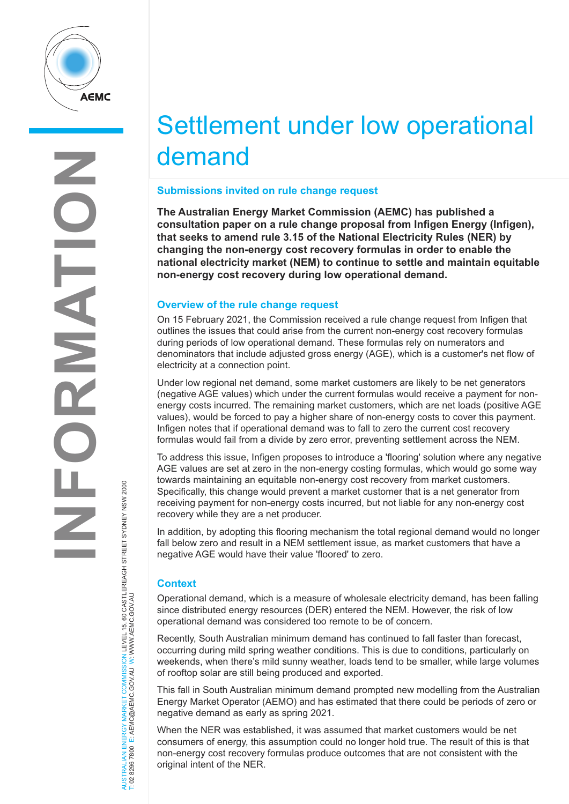

# Settlement under low operational demand

## **Submissions invited on rule change request**

**The Australian Energy Market Commission (AEMC) has published a consultation paper on a rule change proposal from Infigen Energy (Infigen), that seeks to amend rule 3.15 of the National Electricity Rules (NER) by changing the non-energy cost recovery formulas in order to enable the national electricity market (NEM) to continue to settle and maintain equitable non-energy cost recovery during low operational demand.**

## **Overview of the rule change request**

On 15 February 2021, the Commission received a rule change request from Infigen that outlines the issues that could arise from the current non-energy cost recovery formulas during periods of low operational demand. These formulas rely on numerators and denominators that include adjusted gross energy (AGE), which is a customer's net flow of electricity at a connection point.

Under low regional net demand, some market customers are likely to be net generators (negative AGE values) which under the current formulas would receive a payment for nonenergy costs incurred. The remaining market customers, which are net loads (positive AGE values), would be forced to pay a higher share of non-energy costs to cover this payment. Infigen notes that if operational demand was to fall to zero the current cost recovery formulas would fail from a divide by zero error, preventing settlement across the NEM.

To address this issue, Infigen proposes to introduce a 'flooring' solution where any negative AGE values are set at zero in the non-energy costing formulas, which would go some way towards maintaining an equitable non-energy cost recovery from market customers. Specifically, this change would prevent a market customer that is a net generator from receiving payment for non-energy costs incurred, but not liable for any non-energy cost recovery while they are a net producer.

In addition, by adopting this flooring mechanism the total regional demand would no longer fall below zero and result in a NEM settlement issue, as market customers that have a negative AGE would have their value 'floored' to zero.

# **Context**

AUSTRALIAN ENERGY MARKET COMMISSION LEVEL 15, 60 CASTLEREAGH STREET SYDNEY NSW 2000

NERGY MARKET COMMISSION LEVEL 15, 60 CASTLEREAGH STREET SYDNEY NSW 2000<br>E: AEMC@AEMC.GOV.AU W: WWW.AEMC.GOV.AU

T: 02 8296 7800 E: AEMC@AEMC.GOV.AU W: WWW.AEMC.GOV.AU

AUSTRALIAN ENERGY MARKET

Operational demand, which is a measure of wholesale electricity demand, has been falling since distributed energy resources (DER) entered the NEM. However, the risk of low operational demand was considered too remote to be of concern.

Recently, South Australian minimum demand has continued to fall faster than forecast, occurring during mild spring weather conditions. This is due to conditions, particularly on weekends, when there's mild sunny weather, loads tend to be smaller, while large volumes of rooftop solar are still being produced and exported.

This fall in South Australian minimum demand prompted new modelling from the Australian Energy Market Operator (AEMO) and has estimated that there could be periods of zero or negative demand as early as spring 2021.

When the NER was established, it was assumed that market customers would be net consumers of energy, this assumption could no longer hold true. The result of this is that non-energy cost recovery formulas produce outcomes that are not consistent with the original intent of the NER.